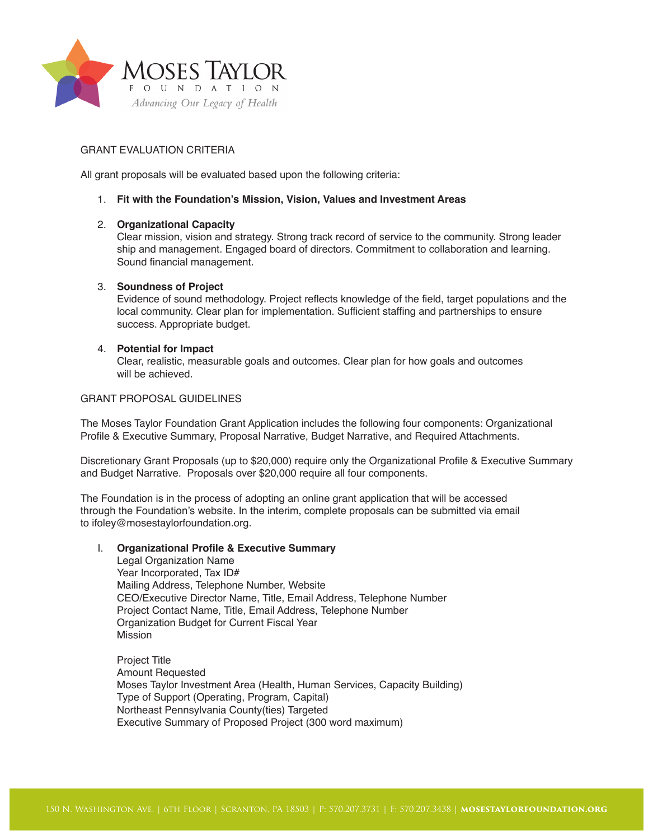

## GRANT EVALUATION CRITERIA

All grant proposals will be evaluated based upon the following criteria:

#### 1. **Fit with the Foundation's Mission, Vision, Values and Investment Areas**

#### 2. **Organizational Capacity**

Clear mission, vision and strategy. Strong track record of service to the community. Strong leader ship and management. Engaged board of directors. Commitment to collaboration and learning. Sound financial management.

## 3. **Soundness of Project**

Evidence of sound methodology. Project reflects knowledge of the field, target populations and the local community. Clear plan for implementation. Sufficient staffing and partnerships to ensure success. Appropriate budget.

# 4. **Potential for Impact**

Clear, realistic, measurable goals and outcomes. Clear plan for how goals and outcomes will be achieved.

## GRANT PROPOSAL GUIDELINES

The Moses Taylor Foundation Grant Application includes the following four components: Organizational Profile & Executive Summary, Proposal Narrative, Budget Narrative, and Required Attachments.

Discretionary Grant Proposals (up to \$20,000) require only the Organizational Profile & Executive Summary and Budget Narrative. Proposals over \$20,000 require all four components.

The Foundation is in the process of adopting an online grant application that will be accessed through the Foundation's website. In the interim, complete proposals can be submitted via email to ifoley@mosestaylorfoundation.org.

#### I. **Organizational Profile & Executive Summary**

Legal Organization Name Year Incorporated, Tax ID# Mailing Address, Telephone Number, Website CEO/Executive Director Name, Title, Email Address, Telephone Number Project Contact Name, Title, Email Address, Telephone Number Organization Budget for Current Fiscal Year Mission

Project Title Amount Requested Moses Taylor Investment Area (Health, Human Services, Capacity Building) Type of Support (Operating, Program, Capital) Northeast Pennsylvania County(ties) Targeted Executive Summary of Proposed Project (300 word maximum)